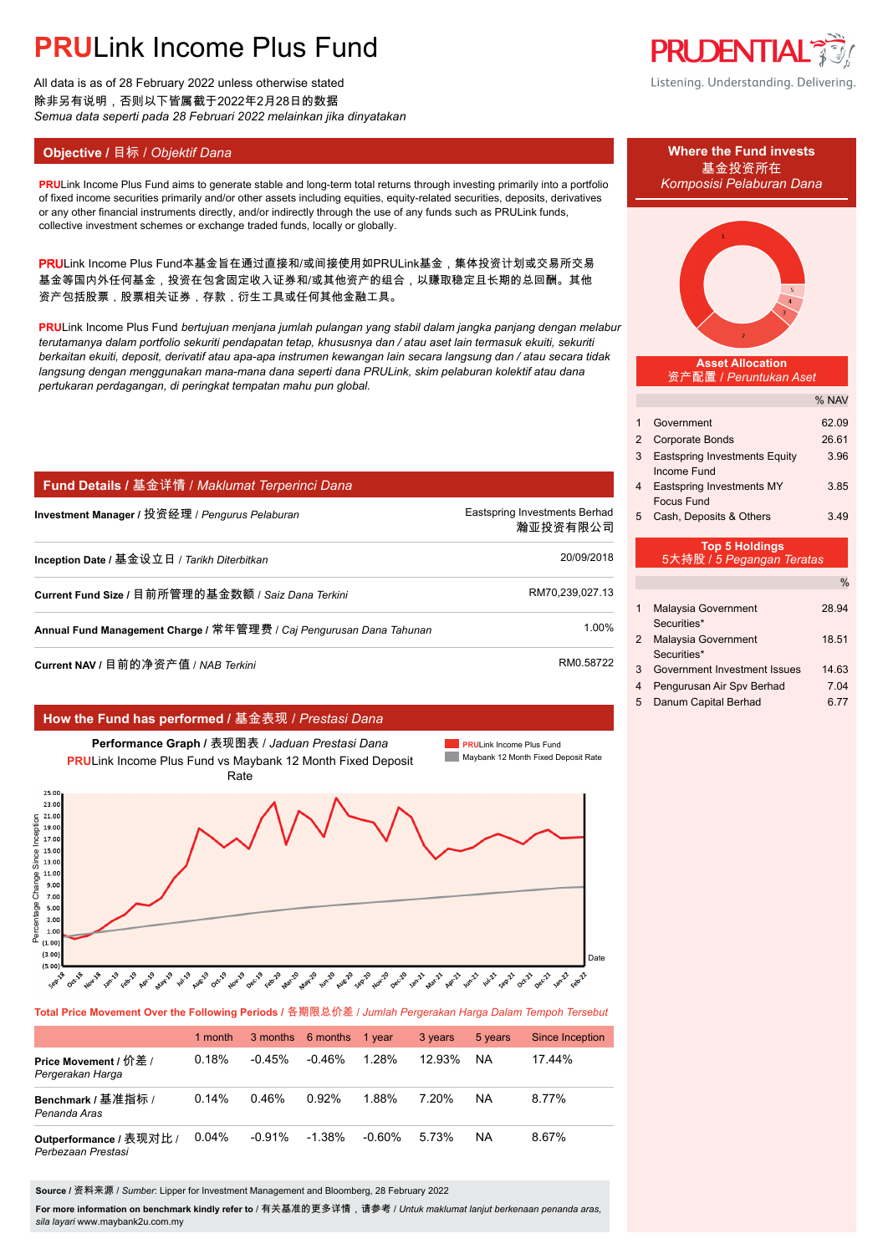# **PRU**Link Income Plus Fund

All data is as of 28 February 2022 unless otherwise stated 除非另有说明,否则以下皆属截于2022年2月28日的数据 *Semua data seperti pada 28 Februari 2022 melainkan jika dinyatakan*

### **Objective / 目标 /** *Objektif Dana* **<b>Where the Fund invests Where the Fund invests**

**PRULink Income Plus Fund aims to generate stable and long-term total returns through investing primarily into a portfolio** of fixed income securities primarily and/or other assets including equities, equity-related securities, deposits, derivatives or any other financial instruments directly, and/or indirectly through the use of any funds such as PRULink funds, collective investment schemes or exchange traded funds, locally or globally.

PRULink Income Plus Fund本基金旨在通过直接和/或间接使用如PRULink基金,集体投资计划或交易所交易 基金等国内外任何基金,投资在包含固定收入证券和/或其他资产的组合,以赚取稳定且长期的总回酬。其他 资产包括股票,股票相关证券,存款,衍生工具或任何其他金融工具。

**PRU**Link Income Plus Fund *bertujuan menjana jumlah pulangan yang stabil dalam jangka panjang dengan melabur terutamanya dalam portfolio sekuriti pendapatan tetap, khususnya dan / atau aset lain termasuk ekuiti, sekuriti berkaitan ekuiti, deposit, derivatif atau apa-apa instrumen kewangan lain secara langsung dan / atau secara tidak langsung dengan menggunakan mana-mana dana seperti dana PRULink, skim pelaburan kolektif atau dana pertukaran perdagangan, di peringkat tempatan mahu pun global.*

### **Fund Details /** 基金详情 / *Maklumat Terperinci Dana*

| Investment Manager / 投资经理 / <i>Penqurus Pelaburan</i>               | Eastspring Investments Berhad<br>瀚亚投资有限公司 |
|---------------------------------------------------------------------|-------------------------------------------|
| Inception Date / 基金设立日 / <i>Tarikh Diterbitkan</i>                  | 20/09/2018                                |
| Current Fund Size / 目前所管理的基金数额 / Saiz Dana Terkini                  | RM70,239,027.13                           |
| Annual Fund Management Charge / 常年管理费 / Caj Pengurusan Dana Tahunan | 1.00%                                     |
| Current NAV / 目前的净资产值 / NAB <i>Terkini</i>                          | RM0.58722                                 |

#### **How the Fund has performed /** 基金表现 / *Prestasi Dana*



**Total Price Movement Over the Following Periods /** 各期限总价差 / *Jumlah Pergerakan Harga Dalam Tempoh Tersebut*

|                                               | 1 month  |           | 3 months 6 months 1 year |        | 3 years   | 5 years | <b>Since Inception</b> |
|-----------------------------------------------|----------|-----------|--------------------------|--------|-----------|---------|------------------------|
| Price Movement / 价差 /<br>Pergerakan Harga     | 0.18%    | $-0.45%$  | $-0.46%$                 | 1.28%  | $12.93\%$ | NA      | 1744%                  |
| Benchmark / 基准指标 /<br>Penanda Aras            | $0.14\%$ | 0.46%     | 0.92%                    | 1.88%  | 7.20%     | NA      | 8.77%                  |
| Outperformance / 表现对比 /<br>Perbezaan Prestasi | 0.04%    | $-0.91\%$ | $-1.38\%$                | -0.60% | 5.73%     | ΝA      | 8.67%                  |

**Source /** 资料来源 / *Sumber*: Lipper for Investment Management and Bloomberg, 28 February 2022

**For more information on benchmark kindly refer to** / 有关基准的更多详情,请参考 / *Untuk maklumat lanjut berkenaan penanda aras, sila layari* www.maybank2u.com.my



Listening. Understanding. Delivering.

# 基金投资所在



**Asset Allocation** 资产配置 / *Peruntukan Aset*

0/ NAV

|                                                    |                                                     | $0.19$ $\sim$ |  |
|----------------------------------------------------|-----------------------------------------------------|---------------|--|
|                                                    | Government                                          | 62.09         |  |
| 2                                                  | <b>Corporate Bonds</b>                              | 26.61         |  |
| 3                                                  | <b>Eastspring Investments Equity</b><br>Income Fund | 3.96          |  |
| 4                                                  | Eastspring Investments MY<br><b>Focus Fund</b>      | 3.85          |  |
| 5                                                  | Cash, Deposits & Others                             | 3.49          |  |
| <b>Top 5 Holdings</b><br>5大持股 / 5 Pegangan Teratas |                                                     |               |  |
|                                                    |                                                     |               |  |

| 1 | Malaysia Government<br>Securities*          | 28.94 |
|---|---------------------------------------------|-------|
| 2 | <b>Malaysia Government</b>                  | 18.51 |
| 3 | Securities*<br>Government Investment Issues | 14.63 |
| 4 | Pengurusan Air Spv Berhad                   | 7.04  |
| 5 | Danum Capital Berhad                        | 6.77  |
|   |                                             |       |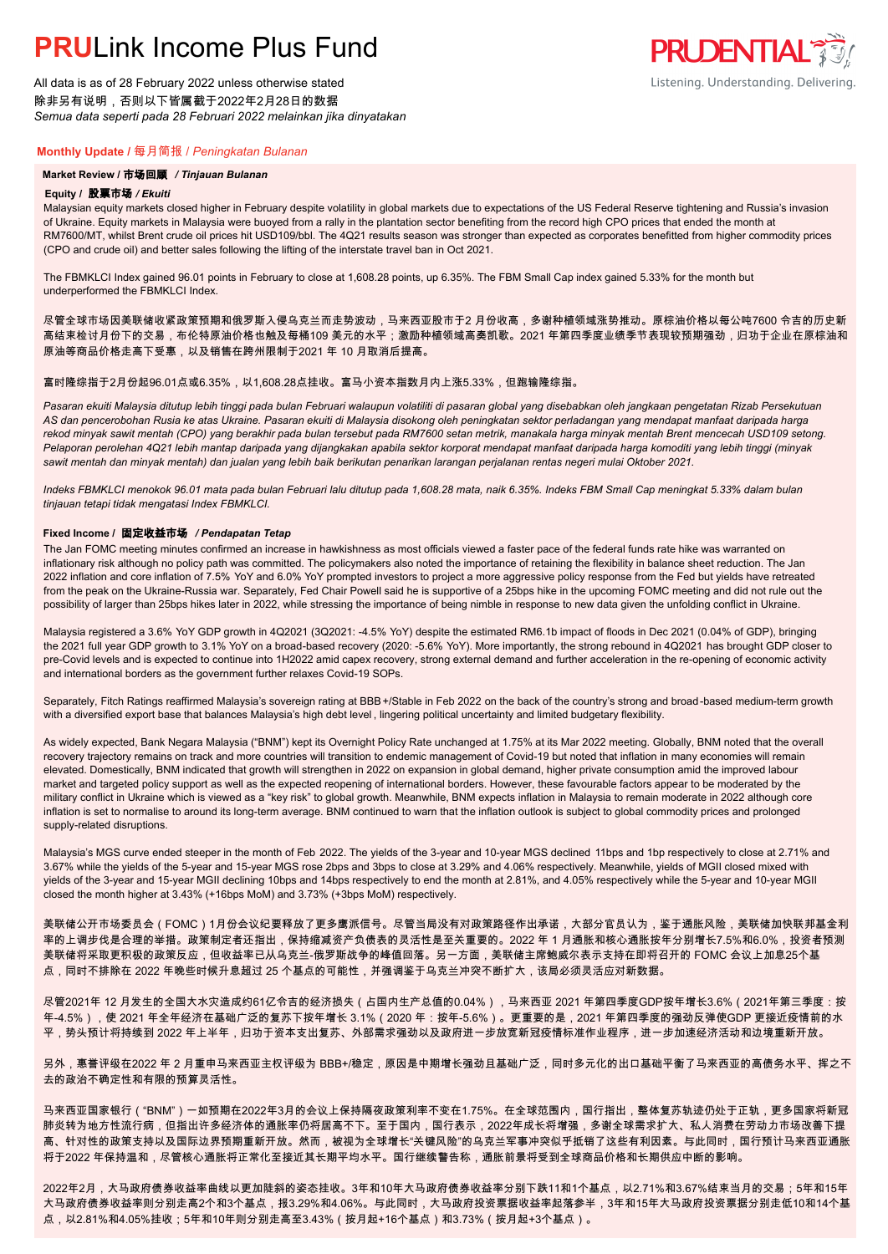## **PRUL** ink Income Plus Fund

All data is as of 28 February 2022 unless otherwise stated 除非另有说明,否则以下皆属截于2022年2月28日的数据 *Semua data seperti pada 28 Februari 2022 melainkan jika dinyatakan*

#### **Monthly Update /** 每月简报 / *Peningkatan Bulanan*

#### **Market Review /** 市场回顾 */ Tinjauan Bulanan*

#### **Equity /** 股票市场 */ Ekuiti.*

Malaysian equity markets closed higher in February despite volatility in global markets due to expectations of the US Federal Reserve tightening and Russia's invasion of Ukraine. Equity markets in Malaysia were buoyed from a rally in the plantation sector benefiting from the record high CPO prices that ended the month at RM7600/MT, whilst Brent crude oil prices hit USD109/bbl. The 4Q21 results season was stronger than expected as corporates benefitted from higher commodity prices (CPO and crude oil) and better sales following the lifting of the interstate travel ban in Oct 2021.

**PRUDENTIAL** 

Listening. Understanding. Delivering.

The FBMKLCI Index gained 96.01 points in February to close at 1,608.28 points, up 6.35%. The FBM Small Cap index gained 5.33% for the month but underperformed the FBMKLCI Index.

尽管全球市场因美联储收紧政策预期和俄罗斯入侵乌克兰而走势波动,马来西亚股市于2 月份收高,多谢种植领域涨势推动。原棕油价格以每公吨7600 令吉的历史新 高结束检讨月份下的交易,布伦特原油价格也触及每桶109 美元的水平;激励种植领域高奏凯歌。2021 年第四季度业绩季节表现较预期强劲,归功于企业在原棕油和 原油等商品价格走高下受惠,以及销售在跨州限制于2021 年 10 月取消后提高。

#### 富时隆综指于2月份起96.01点或6.35%,以1,608.28点挂收。富马小资本指数月内上涨5.33%,但跑输隆综指。

*Pasaran ekuiti Malaysia ditutup lebih tinggi pada bulan Februari walaupun volatiliti di pasaran global yang disebabkan oleh jangkaan pengetatan Rizab Persekutuan AS dan pencerobohan Rusia ke atas Ukraine. Pasaran ekuiti di Malaysia disokong oleh peningkatan sektor perladangan yang mendapat manfaat daripada harga rekod minyak sawit mentah (CPO) yang berakhir pada bulan tersebut pada RM7600 setan metrik, manakala harga minyak mentah Brent mencecah USD109 setong. Pelaporan perolehan 4Q21 lebih mantap daripada yang dijangkakan apabila sektor korporat mendapat manfaat daripada harga komoditi yang lebih tinggi (minyak sawit mentah dan minyak mentah) dan jualan yang lebih baik berikutan penarikan larangan perjalanan rentas negeri mulai Oktober 2021.*

*Indeks FBMKLCI menokok 96.01 mata pada bulan Februari lalu ditutup pada 1,608.28 mata, naik 6.35%. Indeks FBM Small Cap meningkat 5.33% dalam bulan tinjauan tetapi tidak mengatasi Index FBMKLCI.*

#### **Fixed Income /** 固定收益市场 */ Pendapatan Tetap*

*.* The Jan FOMC meeting minutes confirmed an increase in hawkishness as most officials viewed a faster pace of the federal funds rate hike was warranted on inflationary risk although no policy path was committed. The policymakers also noted the importance of retaining the flexibility in balance sheet reduction. The Jan 2022 inflation and core inflation of 7.5% YoY and 6.0% YoY prompted investors to project a more aggressive policy response from the Fed but yields have retreated from the peak on the Ukraine-Russia war. Separately, Fed Chair Powell said he is supportive of a 25bps hike in the upcoming FOMC meeting and did not rule out the possibility of larger than 25bps hikes later in 2022, while stressing the importance of being nimble in response to new data given the unfolding conflict in Ukraine.

Malaysia registered a 3.6% YoY GDP growth in 4Q2021 (3Q2021: -4.5% YoY) despite the estimated RM6.1b impact of floods in Dec 2021 (0.04% of GDP), bringing the 2021 full year GDP growth to 3.1% YoY on a broad-based recovery (2020: -5.6% YoY). More importantly, the strong rebound in 4Q2021 has brought GDP closer to pre-Covid levels and is expected to continue into 1H2022 amid capex recovery, strong external demand and further acceleration in the re-opening of economic activity and international borders as the government further relaxes Covid-19 SOPs.

Separately, Fitch Ratings reaffirmed Malaysia's sovereign rating at BBB+/Stable in Feb 2022 on the back of the country's strong and broad-based medium-term growth with a diversified export base that balances Malaysia's high debt level , lingering political uncertainty and limited budgetary flexibility.

As widely expected, Bank Negara Malaysia ("BNM") kept its Overnight Policy Rate unchanged at 1.75% at its Mar 2022 meeting. Globally, BNM noted that the overall recovery trajectory remains on track and more countries will transition to endemic management of Covid-19 but noted that inflation in many economies will remain elevated. Domestically, BNM indicated that growth will strengthen in 2022 on expansion in global demand, higher private consumption amid the improved labour market and targeted policy support as well as the expected reopening of international borders. However, these favourable factors appear to be moderated by the military conflict in Ukraine which is viewed as a "key risk" to global growth. Meanwhile, BNM expects inflation in Malaysia to remain moderate in 2022 although core inflation is set to normalise to around its long-term average. BNM continued to warn that the inflation outlook is subject to global commodity prices and prolonged supply-related disruptions.

Malaysia's MGS curve ended steeper in the month of Feb 2022. The yields of the 3-year and 10-year MGS declined 11bps and 1bp respectively to close at 2.71% and 3.67% while the yields of the 5-year and 15-year MGS rose 2bps and 3bps to close at 3.29% and 4.06% respectively. Meanwhile, yields of MGII closed mixed with yields of the 3-year and 15-year MGII declining 10bps and 14bps respectively to end the month at 2.81%, and 4.05% respectively while the 5-year and 10-year MGII closed the month higher at 3.43% (+16bps MoM) and 3.73% (+3bps MoM) respectively.

美联储公开市场委员会(FOMC)1月份会议纪要释放了更多鹰派信号。尽管当局没有对政策路径作出承诺,大部分官员认为,鉴于通胀风险,美联储加快联邦基金利 率的上调步伐是合理的举措。政策制定者还指出,保持缩减资产负债表的灵活性是至关重要的。2022 年 1 月通胀和核心通胀按年分别增长7.5%和6.0%,投资者预测 美联储将采取更积极的政策反应,但收益率已从乌克兰-俄罗斯战争的峰值回落。另一方面,美联储主席鲍威尔表示支持在即将召开的 FOMC 会议上加息25个基 点,同时不排除在 2022 年晚些时候升息超过 25 个基点的可能性,并强调鉴于乌克兰冲突不断扩大,该局必须灵活应对新数据。

尽管2021年 12 月发生的全国大水灾造成约61亿令吉的经济损失(占国内生产总值的0.04%),马来西亚 2021 年第四季度GDP按年增长3.6%(2021年第三季度:按 年-4.5%),使 2021 年全年经济在基础广泛的复苏下按年增长 3.1%(2020 年:按年-5.6%)。更重要的是,2021 年第四季度的强劲反弹使GDP 更接近疫情前的水 平,势头预计将持续到 2022 年上半年,归功于资本支出复苏、外部需求强劲以及政府进一步放宽新冠疫情标准作业程序,进一步加速经济活动和边境重新开放。

另外,惠誉评级在2022 年 2 月重申马来西亚主权评级为 BBB+/稳定,原因是中期增长强劲且基础广泛,同时多元化的出口基础平衡了马来西亚的高债务水平、挥之不 去的政治不确定性和有限的预算灵活性。

马来西亚国家银行("BNM")一如预期在2022年3月的会议上保持隔夜政策利率不变在1.75%。在全球范围内,国行指出,整体复苏轨迹仍处于正轨,更多国家将新冠 肺炎转为地方性流行病,但指出许多经济体的通胀率仍将居高不下。至于国内,国行表示,2022年成长将增强,多谢全球需求扩大、私人消费在劳动力市场改善下提 高、针对性的政策支持以及国际边界预期重新开放。然而,被视为全球增长"关键风险"的乌克兰军事冲突似乎抵销了这些有利因素。与此同时,国行预计马来西亚通胀 将于2022 年保持温和,尽管核心通胀将正常化至接近其长期平均水平。国行继续警告称,通胀前景将受到全球商品价格和长期供应中断的影响。

2022年2月,大马政府债券收益率曲线以更加陡斜的姿态挂收。3年和10年大马政府债券收益率分别下跌11和1个基点,以2.71%和3.67%结束当月的交易;5年和15年 大马政府债券收益率则分别走高2个和3个基点,报3.29%和4.06%。与此同时,大马政府投资票据收益率起落参半,3年和15年大马政府投资票据分别走低10和14个基 点,以2.81%和4.05%挂收;5年和10年则分别走高至3.43%(按月起+16个基点)和3.73%(按月起+3个基点)。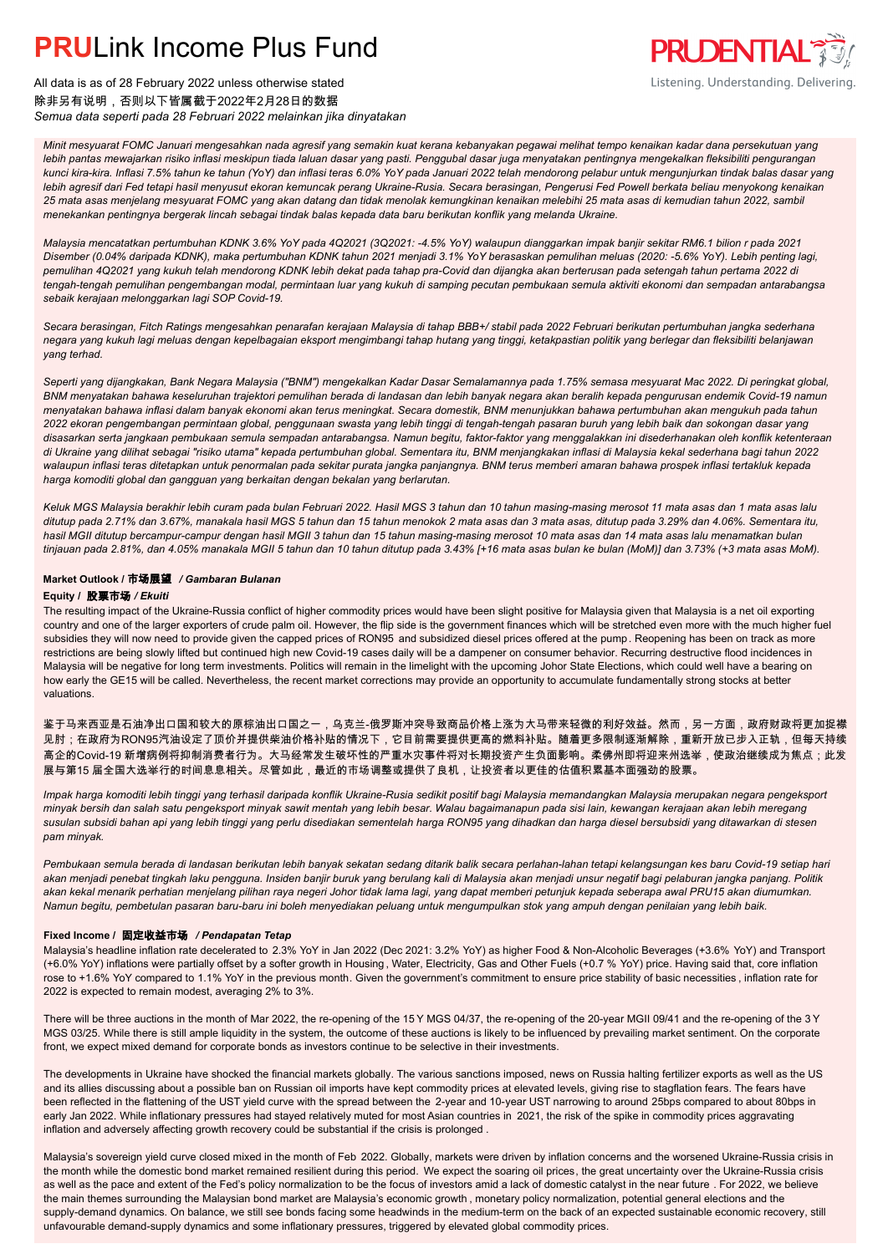### **PRU**Link Income Plus Fund



All data is as of 28 February 2022 unless otherwise stated 除非另有说明,否则以下皆属截于2022年2月28日的数据 *Semua data seperti pada 28 Februari 2022 melainkan jika dinyatakan*

*Minit mesyuarat FOMC Januari mengesahkan nada agresif yang semakin kuat kerana kebanyakan pegawai melihat tempo kenaikan kadar dana persekutuan yang lebih pantas mewajarkan risiko inflasi meskipun tiada laluan dasar yang pasti. Penggubal dasar juga menyatakan pentingnya mengekalkan fleksibiliti pengurangan kunci kira-kira. Inflasi 7.5% tahun ke tahun (YoY) dan inflasi teras 6.0% YoY pada Januari 2022 telah mendorong pelabur untuk mengunjurkan tindak balas dasar yang lebih agresif dari Fed tetapi hasil menyusut ekoran kemuncak perang Ukraine-Rusia. Secara berasingan, Pengerusi Fed Powell berkata beliau menyokong kenaikan 25 mata asas menjelang mesyuarat FOMC yang akan datang dan tidak menolak kemungkinan kenaikan melebihi 25 mata asas di kemudian tahun 2022, sambil menekankan pentingnya bergerak lincah sebagai tindak balas kepada data baru berikutan konflik yang melanda Ukraine.*

*Malaysia mencatatkan pertumbuhan KDNK 3.6% YoY pada 4Q2021 (3Q2021: -4.5% YoY) walaupun dianggarkan impak banjir sekitar RM6.1 bilion r pada 2021 Disember (0.04% daripada KDNK), maka pertumbuhan KDNK tahun 2021 menjadi 3.1% YoY berasaskan pemulihan meluas (2020: -5.6% YoY). Lebih penting lagi, pemulihan 4Q2021 yang kukuh telah mendorong KDNK lebih dekat pada tahap pra-Covid dan dijangka akan berterusan pada setengah tahun pertama 2022 di tengah-tengah pemulihan pengembangan modal, permintaan luar yang kukuh di samping pecutan pembukaan semula aktiviti ekonomi dan sempadan antarabangsa sebaik kerajaan melonggarkan lagi SOP Covid-19.*

*Secara berasingan, Fitch Ratings mengesahkan penarafan kerajaan Malaysia di tahap BBB+/ stabil pada 2022 Februari berikutan pertumbuhan jangka sederhana negara yang kukuh lagi meluas dengan kepelbagaian eksport mengimbangi tahap hutang yang tinggi, ketakpastian politik yang berlegar dan fleksibiliti belanjawan yang terhad.*

*Seperti yang dijangkakan, Bank Negara Malaysia ("BNM") mengekalkan Kadar Dasar Semalamannya pada 1.75% semasa mesyuarat Mac 2022. Di peringkat global, BNM menyatakan bahawa keseluruhan trajektori pemulihan berada di landasan dan lebih banyak negara akan beralih kepada pengurusan endemik Covid-19 namun menyatakan bahawa inflasi dalam banyak ekonomi akan terus meningkat. Secara domestik, BNM menunjukkan bahawa pertumbuhan akan mengukuh pada tahun 2022 ekoran pengembangan permintaan global, penggunaan swasta yang lebih tinggi di tengah-tengah pasaran buruh yang lebih baik dan sokongan dasar yang disasarkan serta jangkaan pembukaan semula sempadan antarabangsa. Namun begitu, faktor-faktor yang menggalakkan ini disederhanakan oleh konflik ketenteraan di Ukraine yang dilihat sebagai "risiko utama" kepada pertumbuhan global. Sementara itu, BNM menjangkakan inflasi di Malaysia kekal sederhana bagi tahun 2022 walaupun inflasi teras ditetapkan untuk penormalan pada sekitar purata jangka panjangnya. BNM terus memberi amaran bahawa prospek inflasi tertakluk kepada harga komoditi global dan gangguan yang berkaitan dengan bekalan yang berlarutan.*

*Keluk MGS Malaysia berakhir lebih curam pada bulan Februari 2022. Hasil MGS 3 tahun dan 10 tahun masing-masing merosot 11 mata asas dan 1 mata asas lalu ditutup pada 2.71% dan 3.67%, manakala hasil MGS 5 tahun dan 15 tahun menokok 2 mata asas dan 3 mata asas, ditutup pada 3.29% dan 4.06%. Sementara itu, hasil MGII ditutup bercampur-campur dengan hasil MGII 3 tahun dan 15 tahun masing-masing merosot 10 mata asas dan 14 mata asas lalu menamatkan bulan tinjauan pada 2.81%, dan 4.05% manakala MGII 5 tahun dan 10 tahun ditutup pada 3.43% [+16 mata asas bulan ke bulan (MoM)] dan 3.73% (+3 mata asas MoM).*

#### **Market Outlook /** 市场展望 */ Gambaran Bulanan*

#### **Equity /** 股票市场 */ Ekuiti .*

The resulting impact of the Ukraine-Russia conflict of higher commodity prices would have been slight positive for Malaysia given that Malaysia is a net oil exporting country and one of the larger exporters of crude palm oil. However, the flip side is the government finances which will be stretched even more with the much higher fuel subsidies they will now need to provide given the capped prices of RON95 and subsidized diesel prices offered at the pump. Reopening has been on track as more restrictions are being slowly lifted but continued high new Covid-19 cases daily will be a dampener on consumer behavior. Recurring destructive flood incidences in Malaysia will be negative for long term investments. Politics will remain in the limelight with the upcoming Johor State Elections, which could well have a bearing on how early the GE15 will be called. Nevertheless, the recent market corrections may provide an opportunity to accumulate fundamentally strong stocks at better valuations.

鉴于马来西亚是石油净出口国和较大的原棕油出口国之一,乌克兰-俄罗斯冲突导致商品价格上涨为大马带来轻微的利好效益。然而,另一方面,政府财政将更加捉襟 见肘;在政府为RON95汽油设定了顶价并提供柴油价格补贴的情况下,它目前需要提供更高的燃料补贴。随着更多限制逐渐解除,重新开放已步入正轨,但每天持续 高企的Covid-19 新增病例将抑制消费者行为。大马经常发生破坏性的严重水灾事件将对长期投资产生负面影响。柔佛州即将迎来州选举,使政治继续成为焦点;此发 展与第15 届全国大选举行的时间息息相关。尽管如此,最近的市场调整或提供了良机,让投资者以更佳的估值积累基本面强劲的股票。

*Impak harga komoditi lebih tinggi yang terhasil daripada konflik Ukraine-Rusia sedikit positif bagi Malaysia memandangkan Malaysia merupakan negara pengeksport minyak bersih dan salah satu pengeksport minyak sawit mentah yang lebih besar. Walau bagaimanapun pada sisi lain, kewangan kerajaan akan lebih meregang susulan subsidi bahan api yang lebih tinggi yang perlu disediakan sementelah harga RON95 yang dihadkan dan harga diesel bersubsidi yang ditawarkan di stesen pam minyak.*

*Pembukaan semula berada di landasan berikutan lebih banyak sekatan sedang ditarik balik secara perlahan-lahan tetapi kelangsungan kes baru Covid-19 setiap hari akan menjadi penebat tingkah laku pengguna. Insiden banjir buruk yang berulang kali di Malaysia akan menjadi unsur negatif bagi pelaburan jangka panjang. Politik akan kekal menarik perhatian menjelang pilihan raya negeri Johor tidak lama lagi, yang dapat memberi petunjuk kepada seberapa awal PRU15 akan diumumkan. Namun begitu, pembetulan pasaran baru-baru ini boleh menyediakan peluang untuk mengumpulkan stok yang ampuh dengan penilaian yang lebih baik.*

#### **Fixed Income /** 固定收益市场 */ Pendapatan Tetap*

*.* Malaysia's headline inflation rate decelerated to 2.3% YoY in Jan 2022 (Dec 2021: 3.2% YoY) as higher Food & Non-Alcoholic Beverages (+3.6% YoY) and Transport (+6.0% YoY) inflations were partially offset by a softer growth in Housing , Water, Electricity, Gas and Other Fuels (+0.7 % YoY) price. Having said that, core inflation rose to +1.6% YoY compared to 1.1% YoY in the previous month. Given the government's commitment to ensure price stability of basic necessities , inflation rate for 2022 is expected to remain modest, averaging 2% to 3%.

There will be three auctions in the month of Mar 2022, the re-opening of the 15 Y MGS 04/37, the re-opening of the 20-year MGII 09/41 and the re-opening of the 3 Y MGS 03/25. While there is still ample liquidity in the system, the outcome of these auctions is likely to be influenced by prevailing market sentiment. On the corporate front, we expect mixed demand for corporate bonds as investors continue to be selective in their investments.

The developments in Ukraine have shocked the financial markets globally. The various sanctions imposed, news on Russia halting fertilizer exports as well as the US and its allies discussing about a possible ban on Russian oil imports have kept commodity prices at elevated levels, giving rise to stagflation fears. The fears have been reflected in the flattening of the UST yield curve with the spread between the 2-year and 10-year UST narrowing to around 25bps compared to about 80bps in early Jan 2022. While inflationary pressures had stayed relatively muted for most Asian countries in 2021, the risk of the spike in commodity prices aggravating inflation and adversely affecting growth recovery could be substantial if the crisis is prolonged .

Malaysia's sovereign yield curve closed mixed in the month of Feb 2022. Globally, markets were driven by inflation concerns and the worsened Ukraine-Russia crisis in the month while the domestic bond market remained resilient during this period. We expect the soaring oil prices, the great uncertainty over the Ukraine-Russia crisis as well as the pace and extent of the Fed's policy normalization to be the focus of investors amid a lack of domestic catalyst in the near future . For 2022, we believe the main themes surrounding the Malaysian bond market are Malaysia's economic growth , monetary policy normalization, potential general elections and the supply-demand dynamics. On balance, we still see bonds facing some headwinds in the medium-term on the back of an expected sustainable economic recovery, still unfavourable demand-supply dynamics and some inflationary pressures, triggered by elevated global commodity prices.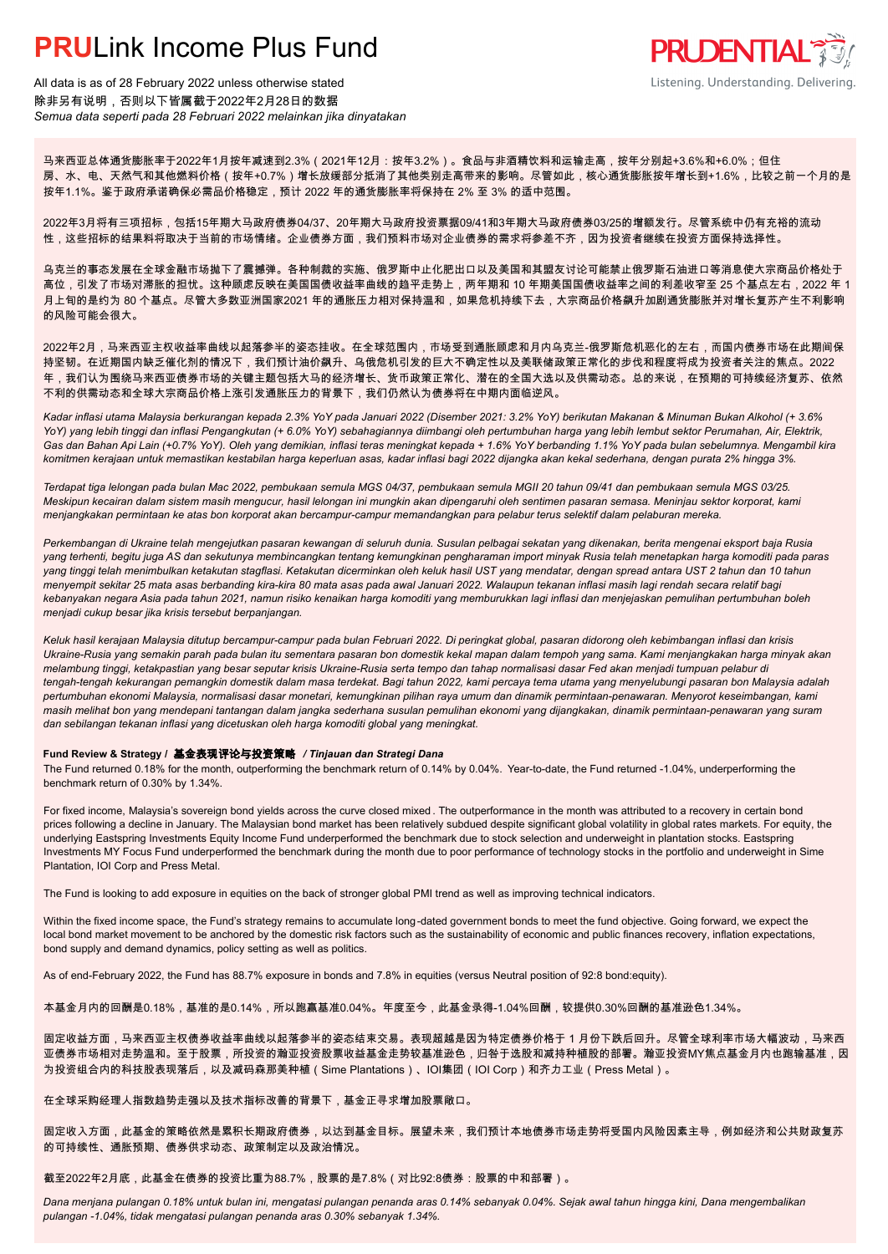### **PRUL** ink Income Plus Fund



All data is as of 28 February 2022 unless otherwise stated 除非另有说明,否则以下皆属截于2022年2月28日的数据 *Semua data seperti pada 28 Februari 2022 melainkan jika dinyatakan*

马来西亚总体通货膨胀率于2022年1月按年减速到2.3%(2021年12月:按年3.2%)。食品与非酒精饮料和运输走高,按年分别起+3.6%和+6.0%;但住 房、水、电、天然气和其他燃料价格(按年+0.7%)增长放缓部分抵消了其他类别走高带来的影响。尽管如此,核心通货膨胀按年增长到+1.6%,比较之前一个月的是 按年1.1%。鉴于政府承诺确保必需品价格稳定,预计 2022 年的通货膨胀率将保持在 2% 至 3% 的适中范围。

2022年3月将有三项招标,包括15年期大马政府债券04/37、20年期大马政府投资票据09/41和3年期大马政府债券03/25的增额发行。尽管系统中仍有充裕的流动 性,这些招标的结果料将取决于当前的市场情绪。企业债券方面,我们预料市场对企业债券的需求将参差不齐,因为投资者继续在投资方面保持选择性。

乌克兰的事态发展在全球金融市场抛下了震撼弹。各种制裁的实施、俄罗斯中止化肥出口以及美国和其盟友讨论可能禁止俄罗斯石油进口等消息使大宗商品价格处于 高位,引发了市场对滞胀的担忧。这种顾虑反映在美国国债收益率曲线的趋平走势上,两年期和 10 年期美国国债收益率之间的利差收窄至 25 个基点左右,2022 年 1 月上旬的是约为 80 个基点。尽管大多数亚洲国家2021 年的通胀压力相对保持温和,如果危机持续下去,大宗商品价格飙升加剧通货膨胀并对增长复苏产生不利影响 的风险可能会很大。

2022年2月,马来西亚主权收益率曲线以起落参半的姿态挂收。在全球范围内,市场受到通胀顾虑和月内乌克兰-俄罗斯危机恶化的左右,而国内债券市场在此期间保 持坚韧。在近期国内缺乏催化剂的情况下,我们预计油价飙升、乌俄危机引发的巨大不确定性以及美联储政策正常化的步伐和程度将成为投资者关注的焦点。2022 年,我们认为围绕马来西亚债券市场的关键主题包括大马的经济增长、货币政策正常化、潜在的全国大选以及供需动态。总的来说,在预期的可持续经济复苏、依然 不利的供需动态和全球大宗商品价格上涨引发通胀压力的背景下,我们仍然认为债券将在中期内面临逆风。

*Kadar inflasi utama Malaysia berkurangan kepada 2.3% YoY pada Januari 2022 (Disember 2021: 3.2% YoY) berikutan Makanan & Minuman Bukan Alkohol (+ 3.6% YoY) yang lebih tinggi dan inflasi Pengangkutan (+ 6.0% YoY) sebahagiannya diimbangi oleh pertumbuhan harga yang lebih lembut sektor Perumahan, Air, Elektrik, Gas dan Bahan Api Lain (+0.7% YoY). Oleh yang demikian, inflasi teras meningkat kepada + 1.6% YoY berbanding 1.1% YoY pada bulan sebelumnya. Mengambil kira komitmen kerajaan untuk memastikan kestabilan harga keperluan asas, kadar inflasi bagi 2022 dijangka akan kekal sederhana, dengan purata 2% hingga 3%.*

*Terdapat tiga lelongan pada bulan Mac 2022, pembukaan semula MGS 04/37, pembukaan semula MGII 20 tahun 09/41 dan pembukaan semula MGS 03/25. Meskipun kecairan dalam sistem masih mengucur, hasil lelongan ini mungkin akan dipengaruhi oleh sentimen pasaran semasa. Meninjau sektor korporat, kami menjangkakan permintaan ke atas bon korporat akan bercampur-campur memandangkan para pelabur terus selektif dalam pelaburan mereka.*

*Perkembangan di Ukraine telah mengejutkan pasaran kewangan di seluruh dunia. Susulan pelbagai sekatan yang dikenakan, berita mengenai eksport baja Rusia yang terhenti, begitu juga AS dan sekutunya membincangkan tentang kemungkinan pengharaman import minyak Rusia telah menetapkan harga komoditi pada paras yang tinggi telah menimbulkan ketakutan stagflasi. Ketakutan dicerminkan oleh keluk hasil UST yang mendatar, dengan spread antara UST 2 tahun dan 10 tahun menyempit sekitar 25 mata asas berbanding kira-kira 80 mata asas pada awal Januari 2022. Walaupun tekanan inflasi masih lagi rendah secara relatif bagi kebanyakan negara Asia pada tahun 2021, namun risiko kenaikan harga komoditi yang memburukkan lagi inflasi dan menjejaskan pemulihan pertumbuhan boleh menjadi cukup besar jika krisis tersebut berpanjangan.*

*Keluk hasil kerajaan Malaysia ditutup bercampur-campur pada bulan Februari 2022. Di peringkat global, pasaran didorong oleh kebimbangan inflasi dan krisis Ukraine-Rusia yang semakin parah pada bulan itu sementara pasaran bon domestik kekal mapan dalam tempoh yang sama. Kami menjangkakan harga minyak akan melambung tinggi, ketakpastian yang besar seputar krisis Ukraine-Rusia serta tempo dan tahap normalisasi dasar Fed akan menjadi tumpuan pelabur di tengah-tengah kekurangan pemangkin domestik dalam masa terdekat. Bagi tahun 2022, kami percaya tema utama yang menyelubungi pasaran bon Malaysia adalah pertumbuhan ekonomi Malaysia, normalisasi dasar monetari, kemungkinan pilihan raya umum dan dinamik permintaan-penawaran. Menyorot keseimbangan, kami masih melihat bon yang mendepani tantangan dalam jangka sederhana susulan pemulihan ekonomi yang dijangkakan, dinamik permintaan-penawaran yang suram dan sebilangan tekanan inflasi yang dicetuskan oleh harga komoditi global yang meningkat.*

#### **Fund Review & Strategy /** 基金表现评论与投资策略 */ Tinjauan dan Strategi Dana*

The Fund returned 0.18% for the month, outperforming the benchmark return of 0.14% by 0.04%. Year-to-date, the Fund returned -1.04%, underperforming the *.* benchmark return of 0.30% by 1.34%.

For fixed income, Malaysia's sovereign bond yields across the curve closed mixed . The outperformance in the month was attributed to a recovery in certain bond prices following a decline in January. The Malaysian bond market has been relatively subdued despite significant global volatility in global rates markets. For equity, the underlying Eastspring Investments Equity Income Fund underperformed the benchmark due to stock selection and underweight in plantation stocks. Eastspring Investments MY Focus Fund underperformed the benchmark during the month due to poor performance of technology stocks in the portfolio and underweight in Sime Plantation, IOI Corp and Press Metal.

The Fund is looking to add exposure in equities on the back of stronger global PMI trend as well as improving technical indicators.

Within the fixed income space, the Fund's strategy remains to accumulate long-dated government bonds to meet the fund objective. Going forward, we expect the local bond market movement to be anchored by the domestic risk factors such as the sustainability of economic and public finances recovery, inflation expectations, bond supply and demand dynamics, policy setting as well as politics.

As of end-February 2022, the Fund has 88.7% exposure in bonds and 7.8% in equities (versus Neutral position of 92:8 bond:equity).

本基金月内的回酬是0.18%,基准的是0.14%,所以跑赢基准0.04%。年度至今,此基金录得-1.04%回酬,较提供0.30%回酬的基准逊色1.34%。

固定收益方面,马来西亚主权债券收益率曲线以起落参半的姿态结束交易。表现超越是因为特定债券价格于 1 月份下跌后回升。尽管全球利率市场大幅波动,马来西 亚债券市场相对走势温和。至于股票,所投资的瀚亚投资股票收益基金走势较基准逊色,归咎于选股和减持种植股的部署。瀚亚投资MY焦点基金月内也跑输基准,因 为投资组合内的科技股表现落后,以及减码森那美种植(Sime Plantations)、IOI集团(IOI Corp)和齐力工业(Press Metal)。

在全球采购经理人指数趋势走强以及技术指标改善的背景下,基金正寻求增加股票敞口。

固定收入方面,此基金的策略依然是累积长期政府债券,以达到基金目标。展望未来,我们预计本地债券市场走势将受国内风险因素主导,例如经济和公共财政复苏 的可持续性、通胀预期、债券供求动态、政策制定以及政治情况。

截至2022年2月底,此基金在债券的投资比重为88.7%,股票的是7.8%(对比92:8债券:股票的中和部署)。

*Dana menjana pulangan 0.18% untuk bulan ini, mengatasi pulangan penanda aras 0.14% sebanyak 0.04%. Sejak awal tahun hingga kini, Dana mengembalikan pulangan -1.04%, tidak mengatasi pulangan penanda aras 0.30% sebanyak 1.34%.*